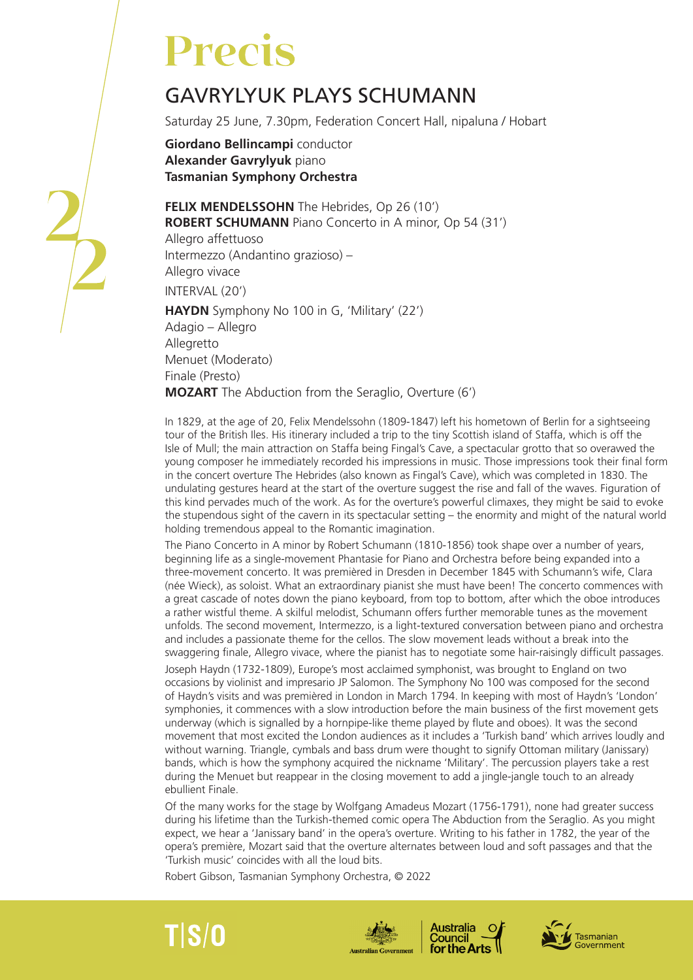## **Precis**

## GAVRYLYUK PLAYS SCHUMANN

Saturday 25 June, 7.30pm, Federation Concert Hall, nipaluna / Hobart

**Giordano Bellincampi** conductor **Alexander Gavrylyuk** piano **Tasmanian Symphony Orchestra**

**FELIX MENDELSSOHN** The Hebrides, Op 26 (10') **ROBERT SCHUMANN** Piano Concerto in A minor, Op 54 (31') Allegro affettuoso Intermezzo (Andantino grazioso) – Allegro vivace INTERVAL (20') **HAYDN** Symphony No 100 in G, 'Military' (22') Adagio – Allegro Allegretto Menuet (Moderato) Finale (Presto) **MOZART** The Abduction from the Seraglio, Overture (6')

In 1829, at the age of 20, Felix Mendelssohn (1809-1847) left his hometown of Berlin for a sightseeing tour of the British Iles. His itinerary included a trip to the tiny Scottish island of Staffa, which is off the Isle of Mull; the main attraction on Staffa being Fingal's Cave, a spectacular grotto that so overawed the young composer he immediately recorded his impressions in music. Those impressions took their final form in the concert overture The Hebrides (also known as Fingal's Cave), which was completed in 1830. The undulating gestures heard at the start of the overture suggest the rise and fall of the waves. Figuration of this kind pervades much of the work. As for the overture's powerful climaxes, they might be said to evoke the stupendous sight of the cavern in its spectacular setting – the enormity and might of the natural world holding tremendous appeal to the Romantic imagination.

The Piano Concerto in A minor by Robert Schumann (1810-1856) took shape over a number of years, beginning life as a single-movement Phantasie for Piano and Orchestra before being expanded into a three-movement concerto. It was premièred in Dresden in December 1845 with Schumann's wife, Clara (née Wieck), as soloist. What an extraordinary pianist she must have been! The concerto commences with a great cascade of notes down the piano keyboard, from top to bottom, after which the oboe introduces a rather wistful theme. A skilful melodist, Schumann offers further memorable tunes as the movement unfolds. The second movement, Intermezzo, is a light-textured conversation between piano and orchestra and includes a passionate theme for the cellos. The slow movement leads without a break into the swaggering finale, Allegro vivace, where the pianist has to negotiate some hair-raisingly difficult passages.

Joseph Haydn (1732-1809), Europe's most acclaimed symphonist, was brought to England on two occasions by violinist and impresario JP Salomon. The Symphony No 100 was composed for the second of Haydn's visits and was premièred in London in March 1794. In keeping with most of Haydn's 'London' symphonies, it commences with a slow introduction before the main business of the first movement gets underway (which is signalled by a hornpipe-like theme played by flute and oboes). It was the second movement that most excited the London audiences as it includes a 'Turkish band' which arrives loudly and without warning. Triangle, cymbals and bass drum were thought to signify Ottoman military (Janissary) bands, which is how the symphony acquired the nickname 'Military'. The percussion players take a rest during the Menuet but reappear in the closing movement to add a jingle-jangle touch to an already ebullient Finale.

Of the many works for the stage by Wolfgang Amadeus Mozart (1756-1791), none had greater success during his lifetime than the Turkish-themed comic opera The Abduction from the Seraglio. As you might expect, we hear a 'Janissary band' in the opera's overture. Writing to his father in 1782, the year of the opera's première, Mozart said that the overture alternates between loud and soft passages and that the 'Turkish music' coincides with all the loud bits.

Robert Gibson, Tasmanian Symphony Orchestra, © 2022